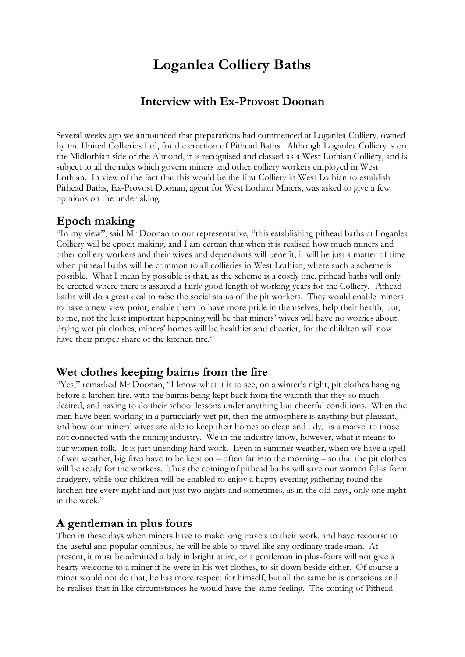# **Loganlea Colliery Baths**

## **Interview with Ex-Provost Doonan**

Several weeks ago we announced that preparations had commenced at Loganlea Colliery, owned by the United Collieries Ltd, for the erection of Pithead Baths. Although Loganlea Colliery is on the Midlothian side of the Almond, it is recognised and classed as a West Lothian Colliery, and is subject to all the rules which govern miners and other colliery workers employed in West Lothian. In view of the fact that this would be the first Colliery in West Lothian to establish Pithead Baths, Ex-Provost Doonan, agent for West Lothian Miners, was asked to give a few opinions on the undertaking:

#### **Epoch making**

"In my view", said Mr Doonan to our representative, "this establishing pithead baths at Loganlea Colliery will be epoch making, and I am certain that when it is realised how much miners and other colliery workers and their wives and dependants will benefit, it will be just a matter of time when pithead baths will be common to all collieries in West Lothian, where such a scheme is possible. What I mean by possible is that, as the scheme is a costly one, pithead baths will only be erected where there is assured a fairly good length of working years for the Colliery, Pithead baths will do a great deal to raise the social status of the pit workers. They would enable miners to have a new view point, enable them to have more pride in themselves, help their health, but, to me, not the least important happening will be that miners' wives will have no worries about drying wet pit clothes, miners' homes will be healthier and cheerier, for the children will now have their proper share of the kitchen fire."

#### **Wet clothes keeping bairns from the fire**

"Yes," remarked Mr Doonan, "I know what it is to see, on a winter's night, pit clothes hanging before a kitchen fire, with the bairns being kept back from the warmth that they so much desired, and having to do their school lessons under anything but cheerful conditions. When the men have been working in a particularly wet pit, then the atmosphere is anything but pleasant, and how our miners' wives are able to keep their homes so clean and tidy, is a marvel to those not connected with the mining industry. We in the industry know, however, what it means to our women folk. It is just unending hard work. Even in summer weather, when we have a spell of wet weather, big fires have to be kept on – often far into the morning – so that the pit clothes will be ready for the workers. Thus the coming of pithead baths will save our women folks form drudgery, while our children will be enabled to enjoy a happy evening gathering round the kitchen fire every night and not just two nights and sometimes, as in the old days, only one night in the week."

### **A gentleman in plus fours**

Then in these days when miners have to make long travels to their work, and have recourse to the useful and popular omnibus, he will be able to travel like any ordinary tradesman. At present, it must be admitted a lady in bright attire, or a gentleman in plus-fours will not give a hearty welcome to a miner if he were in his wet clothes, to sit down beside either. Of course a miner would not do that, he has more respect for himself, but all the same he is conscious and he realises that in like circumstances he would have the same feeling. The coming of Pithead